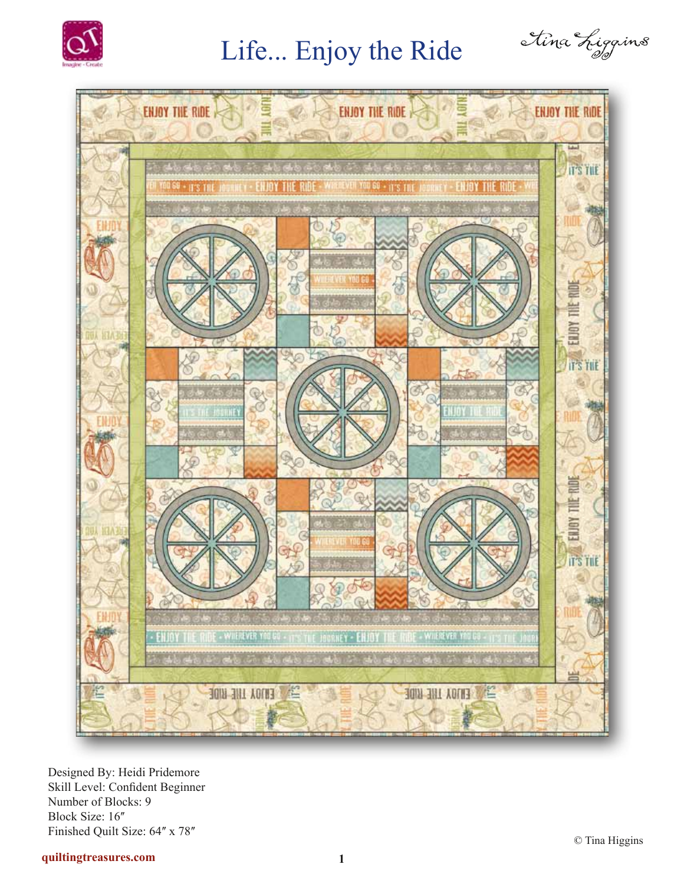

## Life... Enjoy the Ride





Designed By: Heidi Pridemore Skill Level: Confident Beginner Number of Blocks: 9 Block Size: 16" Finished Quilt Size: 64" x 78"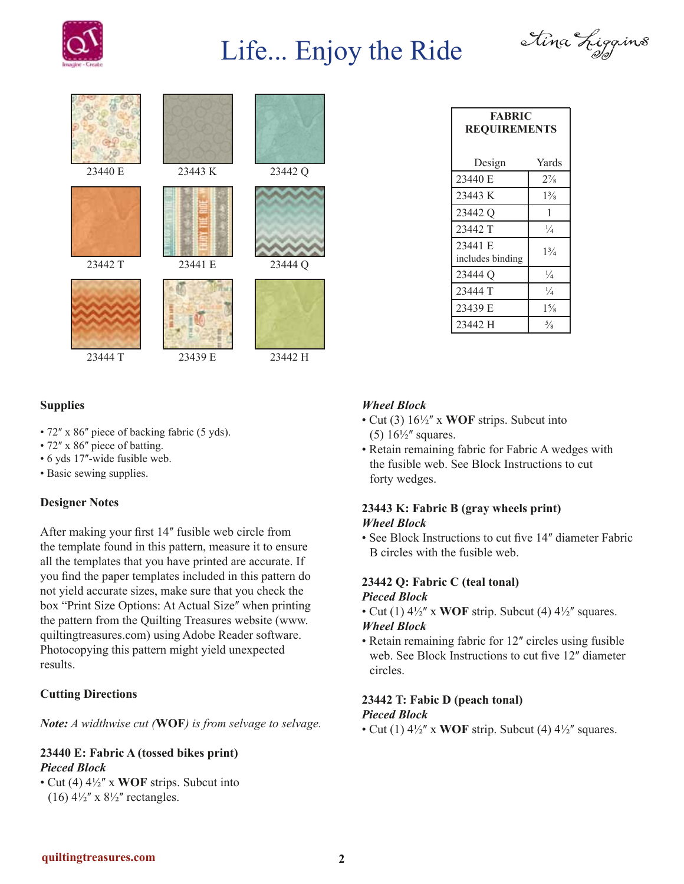

# Life... Enjoy the Ride









#### **Supplies**

- 72" x 86" piece of backing fabric (5 yds).
- 72" x 86" piece of batting.
- 6 yds 17"-wide fusible web.
- Basic sewing supplies.

#### **Designer Notes**

After making your first 14" fusible web circle from the template found in this pattern, measure it to ensure all the templates that you have printed are accurate. If you find the paper templates included in this pattern do not yield accurate sizes, make sure that you check the box "Print Size Options: At Actual Size" when printing the pattern from the Quilting Treasures website (www. quiltingtreasures.com) using Adobe Reader software. Photocopying this pattern might yield unexpected results.

### **Cutting Directions**

*Note: A widthwise cut (***WOF***) is from selvage to selvage.*

#### **23440 E: Fabric A (tossed bikes print)** *Pieced Block*

• Cut (4)  $4\frac{1}{2}$  x **WOF** strips. Subcut into (16)  $4\frac{1}{2}$ " x  $8\frac{1}{2}$ " rectangles.

| <b>FABRIC</b><br><b>REQUIREMENTS</b> |                |
|--------------------------------------|----------------|
| Design                               | Yards          |
| 23440 E                              | $2\frac{7}{8}$ |
| 23443 K                              | $1\frac{3}{8}$ |
| 23442 <sub>Q</sub>                   | 1              |
| 23442 T                              | $\frac{1}{4}$  |
| 23441 E<br>includes binding          | $1\frac{3}{4}$ |
| 23444 Q                              | $\frac{1}{4}$  |
| 23444 T                              | $\frac{1}{4}$  |
| 23439 E                              | $1\frac{5}{8}$ |
| 23442 H                              | $\frac{5}{8}$  |

#### *Wheel Block*

- Cut (3)  $16\frac{1}{2}$  x **WOF** strips. Subcut into (5)  $16\frac{1}{2}$  squares.
- Retain remaining fabric for Fabric A wedges with the fusible web. See Block Instructions to cut forty wedges.

#### **23443 K: Fabric B (gray wheels print)** *Wheel Block*

• See Block Instructions to cut five 14" diameter Fabric B circles with the fusible web.

#### **23442 Q: Fabric C (teal tonal)** *Pieced Block*

• Cut (1)  $4\frac{1}{2}$ <sup>"</sup> x **WOF** strip. Subcut (4)  $4\frac{1}{2}$ " squares. *Wheel Block*

### • Retain remaining fabric for 12" circles using fusible

web. See Block Instructions to cut five 12" diameter circles.

#### **23442 T: Fabic D (peach tonal)** *Pieced Block*

• Cut (1)  $4\frac{1}{2}$ <sup>"</sup> x **WOF** strip. Subcut (4)  $4\frac{1}{2}$ " squares.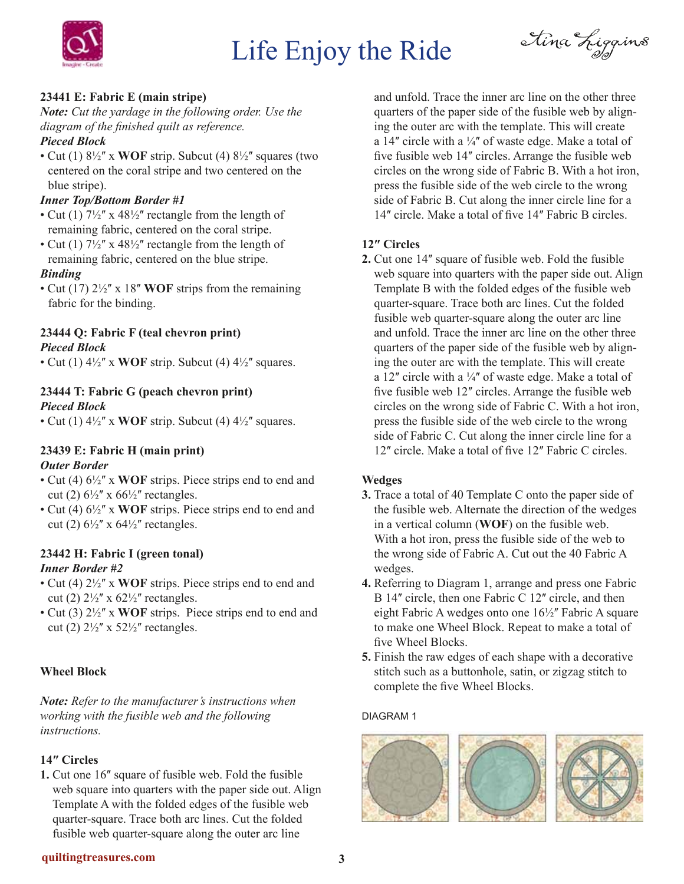

# Life Enjoy the Ride

Étina Liggins

### **23441 E: Fabric E (main stripe)**

*Note: Cut the yardage in the following order. Use the diagram of the finished quilt as reference. Pieced Block*

• Cut (1)  $8\frac{1}{2}$ <sup>"</sup> x **WOF** strip. Subcut (4)  $8\frac{1}{2}$ " squares (two centered on the coral stripe and two centered on the blue stripe).

#### *Inner Top/Bottom Border #1*

- Cut (1)  $7\frac{1}{2}$ " x 48 $\frac{1}{2}$ " rectangle from the length of remaining fabric, centered on the coral stripe.
- Cut (1)  $7\frac{1}{2}$ " x 48 $\frac{1}{2}$ " rectangle from the length of remaining fabric, centered on the blue stripe.

#### *Binding*

• Cut (17)  $2\frac{1}{2}$ " x 18" **WOF** strips from the remaining fabric for the binding.

#### **23444 Q: Fabric F (teal chevron print)** *Pieced Block*

• Cut (1)  $4\frac{1}{2}$ <sup>"</sup> x **WOF** strip. Subcut (4)  $4\frac{1}{2}$ " squares.

### **23444 T: Fabric G (peach chevron print)** *Pieced Block*

• Cut (1)  $4\frac{1}{2}$ <sup>"</sup> x **WOF** strip. Subcut (4)  $4\frac{1}{2}$ " squares.

#### **23439 E: Fabric H (main print)** *Outer Border*

- Cut (4)  $6\frac{1}{2}$ " x WOF strips. Piece strips end to end and cut (2)  $6\frac{1}{2}$ " x  $66\frac{1}{2}$ " rectangles.
- Cut (4)  $6\frac{1}{2}$ <sup>"</sup> x **WOF** strips. Piece strips end to end and cut (2)  $6\frac{1}{2}$ " x  $64\frac{1}{2}$ " rectangles.

### **23442 H: Fabric I (green tonal)**

### *Inner Border #2*

- Cut (4)  $2\frac{1}{2}$ " x **WOF** strips. Piece strips end to end and cut (2)  $2\frac{1}{2}$ " x  $62\frac{1}{2}$ " rectangles.
- Cut (3)  $2\frac{1}{2}$ " x **WOF** strips. Piece strips end to end and cut (2)  $2\frac{1}{2}$ " x  $52\frac{1}{2}$ " rectangles.

### **Wheel Block**

*Note: Refer to the manufacturer's instructions when working with the fusible web and the following instructions.*

### **14ʺ Circles**

**1.** Cut one 16<sup>*''*</sup> square of fusible web. Fold the fusible web square into quarters with the paper side out. Align Template A with the folded edges of the fusible web quarter-square. Trace both arc lines. Cut the folded fusible web quarter-square along the outer arc line

and unfold. Trace the inner arc line on the other three quarters of the paper side of the fusible web by aligning the outer arc with the template. This will create a 14" circle with a  $\frac{1}{4}$ " of waste edge. Make a total of five fusible web 14" circles. Arrange the fusible web circles on the wrong side of Fabric B. With a hot iron, press the fusible side of the web circle to the wrong side of Fabric B. Cut along the inner circle line for a 14" circle. Make a total of five 14" Fabric B circles.

### **12ʺ Circles**

**2.** Cut one 14ʺ square of fusible web. Fold the fusible web square into quarters with the paper side out. Align Template B with the folded edges of the fusible web quarter-square. Trace both arc lines. Cut the folded fusible web quarter-square along the outer arc line and unfold. Trace the inner arc line on the other three quarters of the paper side of the fusible web by aligning the outer arc with the template. This will create a 12" circle with a  $\frac{1}{4}$ " of waste edge. Make a total of five fusible web 12" circles. Arrange the fusible web circles on the wrong side of Fabric C. With a hot iron, press the fusible side of the web circle to the wrong side of Fabric C. Cut along the inner circle line for a 12" circle. Make a total of five 12" Fabric C circles.

### **Wedges**

- **3.** Trace a total of 40 Template C onto the paper side of the fusible web. Alternate the direction of the wedges in a vertical column (**WOF**) on the fusible web. With a hot iron, press the fusible side of the web to the wrong side of Fabric A. Cut out the 40 Fabric A wedges.
- **4.** Referring to Diagram 1, arrange and press one Fabric B 14" circle, then one Fabric C 12" circle, and then eight Fabric A wedges onto one  $16\frac{1}{2}$  Fabric A square to make one Wheel Block. Repeat to make a total of five Wheel Blocks.
- **5.** Finish the raw edges of each shape with a decorative stitch such as a buttonhole, satin, or zigzag stitch to complete the five Wheel Blocks.

#### DIAGRAM 1

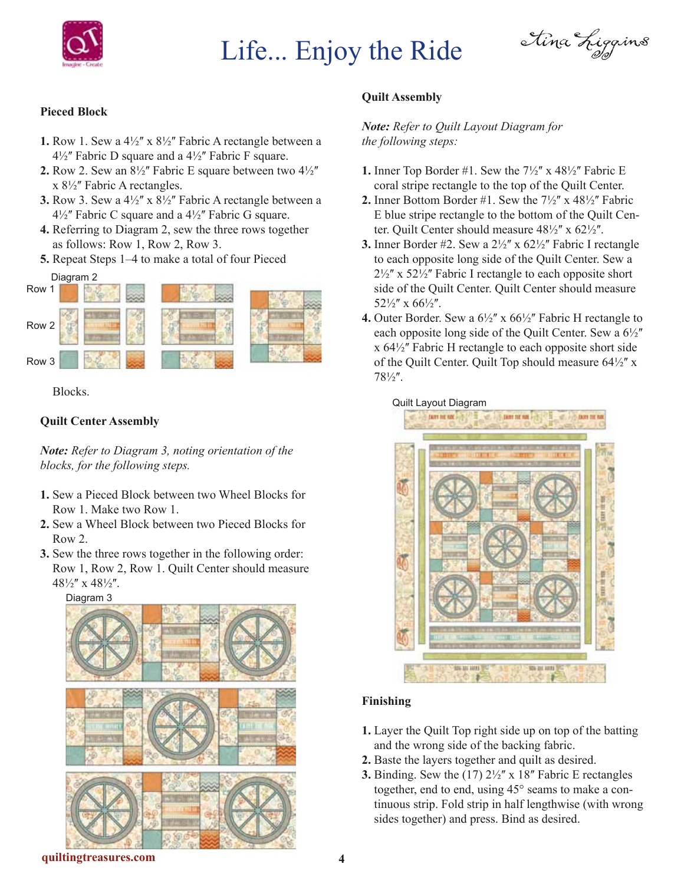

# Life... Enjoy the Ride

étina Liggins

#### **Pieced Block**

- **1.** Row 1. Sew a  $4\frac{1}{2}$ " x  $8\frac{1}{2}$ " Fabric A rectangle between a  $4\frac{1}{2}$ " Fabric D square and a  $4\frac{1}{2}$ " Fabric F square.
- **2.** Row 2. Sew an  $8\frac{1}{2}$ " Fabric E square between two  $4\frac{1}{2}$ "  $x 8\frac{1}{2}$ " Fabric A rectangles.
- **3.** Row 3. Sew a  $4\frac{1}{2}$ " x  $8\frac{1}{2}$ " Fabric A rectangle between a  $4\frac{1}{2}$ " Fabric C square and a  $4\frac{1}{2}$ " Fabric G square.
- **4.** Referring to Diagram 2, sew the three rows together as follows: Row 1, Row 2, Row 3.
- **5.** Repeat Steps 1–4 to make a total of four Pieced



Blocks.

#### **Quilt Center Assembly**

*Note: Refer to Diagram 3, noting orientation of the blocks, for the following steps.*

- **1.** Sew a Pieced Block between two Wheel Blocks for Row 1. Make two Row 1.
- **2.** Sew a Wheel Block between two Pieced Blocks for Row 2.
- **3.** Sew the three rows together in the following order: Row 1, Row 2, Row 1. Quilt Center should measure  $48\frac{1}{2}$ " x  $48\frac{1}{2}$ ".

Diagram 3



### **Quilt Assembly**

#### *Note: Refer to Quilt Layout Diagram for the following steps:*

- **1.** Inner Top Border #1. Sew the  $7\frac{1}{2}$ " x  $48\frac{1}{2}$ " Fabric E coral stripe rectangle to the top of the Quilt Center.
- **2.** Inner Bottom Border #1. Sew the  $7\frac{1}{2}$ " x  $48\frac{1}{2}$ " Fabric E blue stripe rectangle to the bottom of the Quilt Center. Quilt Center should measure  $48\frac{1}{2}$ " x  $62\frac{1}{2}$ ".
- **3.** Inner Border #2. Sew a  $2\frac{1}{2}$ " x  $62\frac{1}{2}$ " Fabric I rectangle to each opposite long side of the Quilt Center. Sew a  $2\frac{1}{2}$ " x 52 $\frac{1}{2}$ " Fabric I rectangle to each opposite short side of the Quilt Center. Quilt Center should measure  $52\frac{1}{2}$ " x 66 $\frac{1}{2}$ ".
- **4.** Outer Border. Sew a  $6\frac{1}{2}$ " x  $66\frac{1}{2}$ " Fabric H rectangle to each opposite long side of the Quilt Center. Sew a  $6\frac{1}{2}$ "  $x 64\frac{1}{2}$  Fabric H rectangle to each opposite short side of the Quilt Center. Quilt Top should measure  $64\frac{1}{2}$ " x  $78\frac{1}{2}$ .

#### Quilt Layout Diagram



#### **Finishing**

- **1.** Layer the Quilt Top right side up on top of the batting and the wrong side of the backing fabric.
- **2.** Baste the layers together and quilt as desired.
- **3.** Binding. Sew the  $(17)$   $2\frac{1}{2}$  x  $18$ <sup>"</sup> Fabric E rectangles together, end to end, using 45° seams to make a continuous strip. Fold strip in half lengthwise (with wrong sides together) and press. Bind as desired.

**quiltingtreasures.com 4**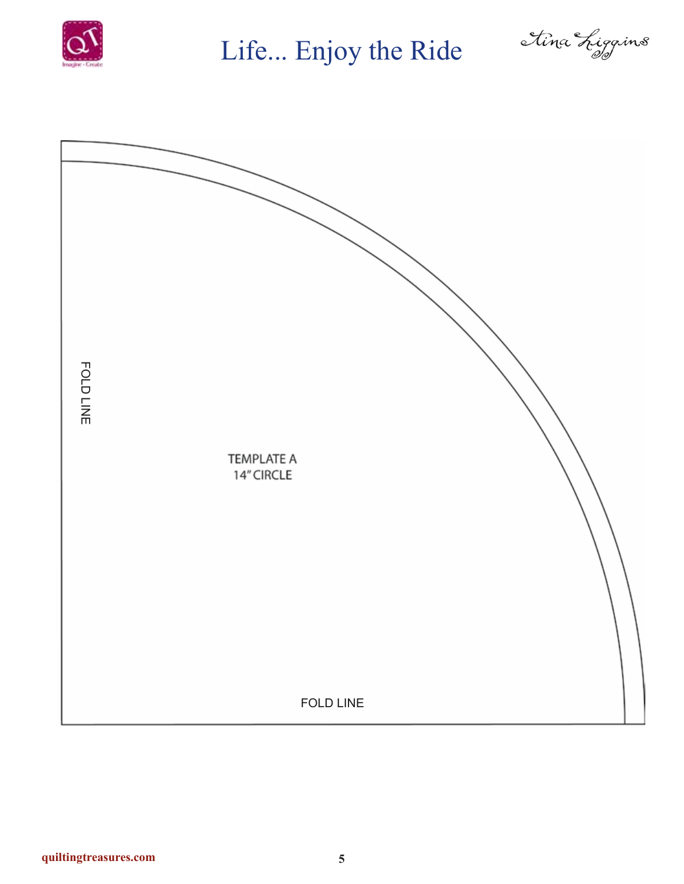

Life... Enjoy the Ride